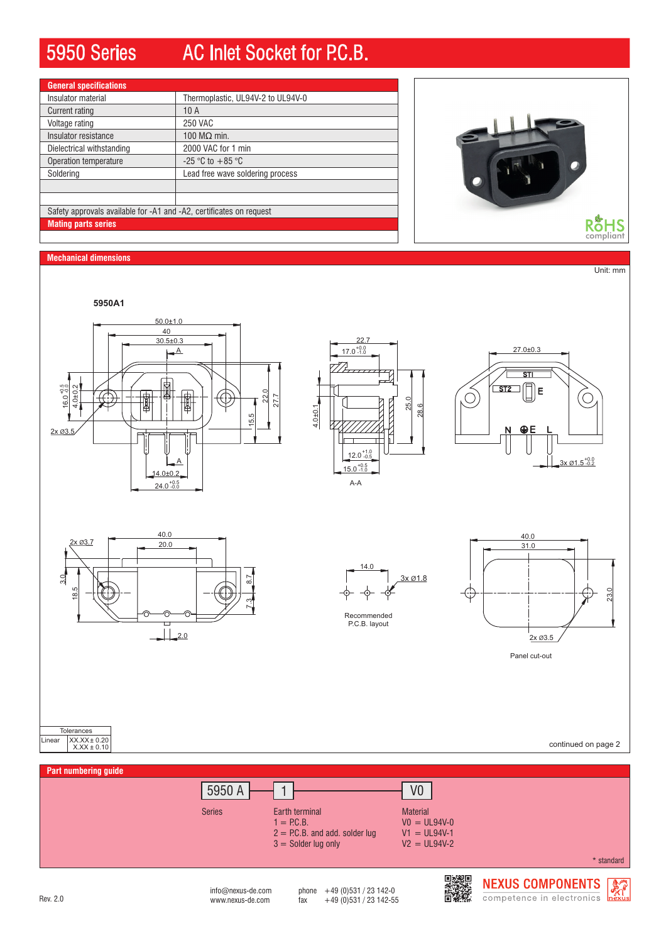# 5950 Series AC Inlet Socket for P.C.B.

| <b>General specifications</b>                                       |                                   |
|---------------------------------------------------------------------|-----------------------------------|
| Insulator material                                                  | Thermoplastic, UL94V-2 to UL94V-0 |
| Current rating                                                      | 10A                               |
| Voltage rating                                                      | <b>250 VAC</b>                    |
| Insulator resistance                                                | 100 $MO$ min.                     |
| Dielectrical withstanding                                           | 2000 VAC for 1 min                |
| Operation temperature                                               | $-25$ °C to $+85$ °C              |
| Soldering                                                           | Lead free wave soldering process  |
|                                                                     |                                   |
|                                                                     |                                   |
| Safety approvals available for -A1 and -A2, certificates on request |                                   |
| <b>Mating parts series</b>                                          |                                   |

# RoHS<sub>compliant</sub>

**Mechanical dimensions**

Unit: mm





A-A









Panel cut-out

continued on page 2



Tolerances Linear XX.XX± 0.20 X.XX ± 0.10

www.nexus-de.com  $\frac{149}{2}$  fax  $\frac{49}{2}$  (0)531 / 23 142-55  $info@{}$ nexus-de.com phone  $+49$  (0)531 / 23 142-0

スラックス<br>国連の<br>国連の